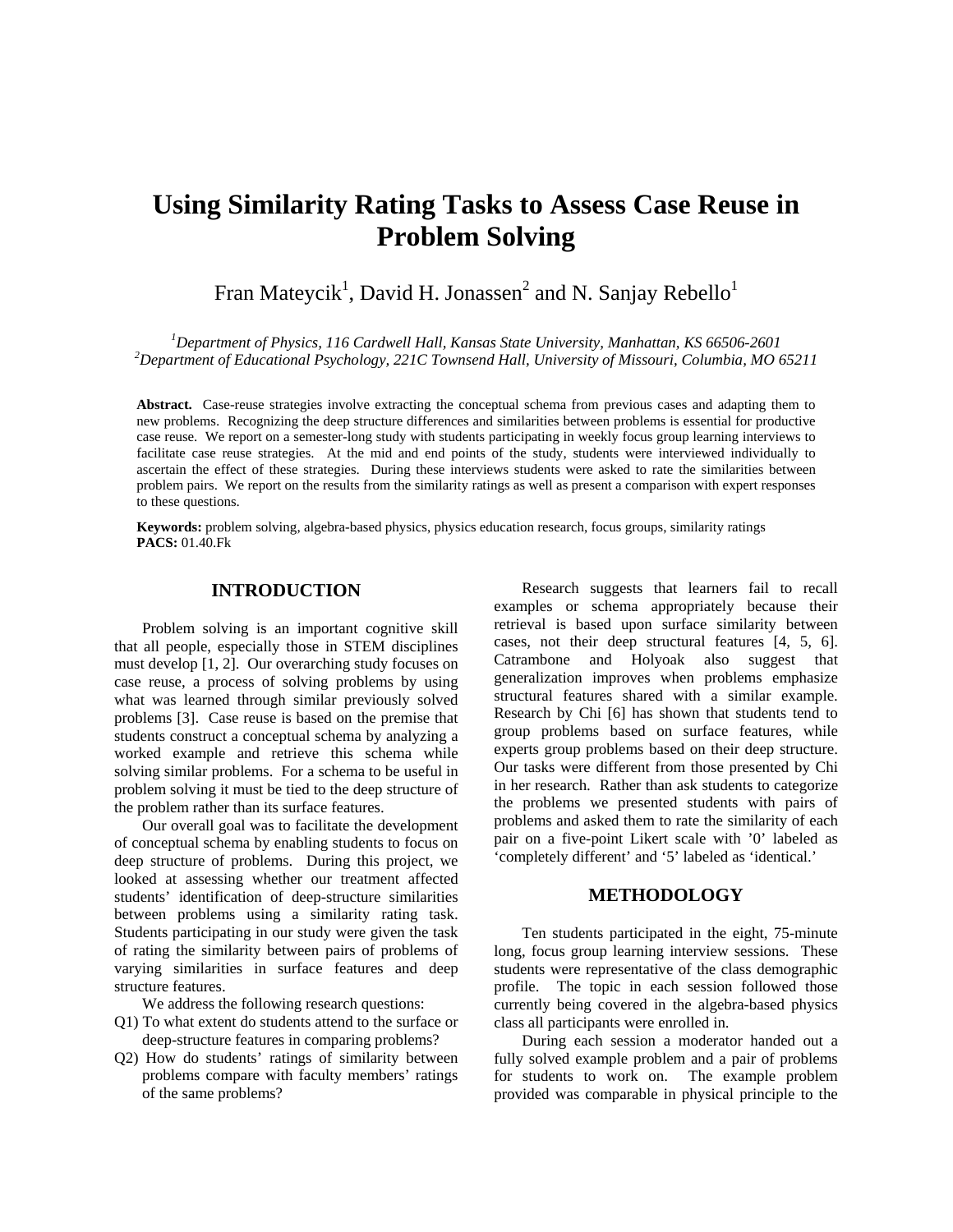# **Using Similarity Rating Tasks to Assess Case Reuse in Problem Solving**

Fran Mateycik<sup>1</sup>, David H. Jonassen<sup>2</sup> and N. Sanjay Rebello<sup>1</sup>

<sup>1</sup> Department of Physics, 116 Cardwell Hall, Kansas State University, Manhattan, KS 66506-2601<br><sup>2</sup> Department of Educational Boyskology, 221C Townsond Hall, University of Missouri, Columbia, MO 6 *Department of Educational Psychology, 221C Townsend Hall, University of Missouri, Columbia, MO 65211* 

**Abstract.** Case-reuse strategies involve extracting the conceptual schema from previous cases and adapting them to new problems. Recognizing the deep structure differences and similarities between problems is essential for productive case reuse. We report on a semester-long study with students participating in weekly focus group learning interviews to facilitate case reuse strategies. At the mid and end points of the study, students were interviewed individually to ascertain the effect of these strategies. During these interviews students were asked to rate the similarities between problem pairs. We report on the results from the similarity ratings as well as present a comparison with expert responses to these questions.

**Keywords:** problem solving, algebra-based physics, physics education research, focus groups, similarity ratings **PACS:** 01.40.Fk

# **INTRODUCTION**

Problem solving is an important cognitive skill that all people, especially those in STEM disciplines must develop [1, 2]. Our overarching study focuses on case reuse, a process of solving problems by using what was learned through similar previously solved problems [3]. Case reuse is based on the premise that students construct a conceptual schema by analyzing a worked example and retrieve this schema while solving similar problems. For a schema to be useful in problem solving it must be tied to the deep structure of the problem rather than its surface features.

Our overall goal was to facilitate the development of conceptual schema by enabling students to focus on deep structure of problems. During this project, we looked at assessing whether our treatment affected students' identification of deep-structure similarities between problems using a similarity rating task. Students participating in our study were given the task of rating the similarity between pairs of problems of varying similarities in surface features and deep structure features.

We address the following research questions:

- Q1) To what extent do students attend to the surface or deep-structure features in comparing problems?
- Q2) How do students' ratings of similarity between problems compare with faculty members' ratings of the same problems?

Research suggests that learners fail to recall examples or schema appropriately because their retrieval is based upon surface similarity between cases, not their deep structural features [4, 5, 6]. Catrambone and Holyoak also suggest that generalization improves when problems emphasize structural features shared with a similar example. Research by Chi [6] has shown that students tend to group problems based on surface features, while experts group problems based on their deep structure. Our tasks were different from those presented by Chi in her research. Rather than ask students to categorize the problems we presented students with pairs of problems and asked them to rate the similarity of each pair on a five-point Likert scale with '0' labeled as 'completely different' and '5' labeled as 'identical.'

#### **METHODOLOGY**

Ten students participated in the eight, 75-minute long, focus group learning interview sessions. These students were representative of the class demographic profile. The topic in each session followed those currently being covered in the algebra-based physics class all participants were enrolled in.

During each session a moderator handed out a fully solved example problem and a pair of problems for students to work on. The example problem provided was comparable in physical principle to the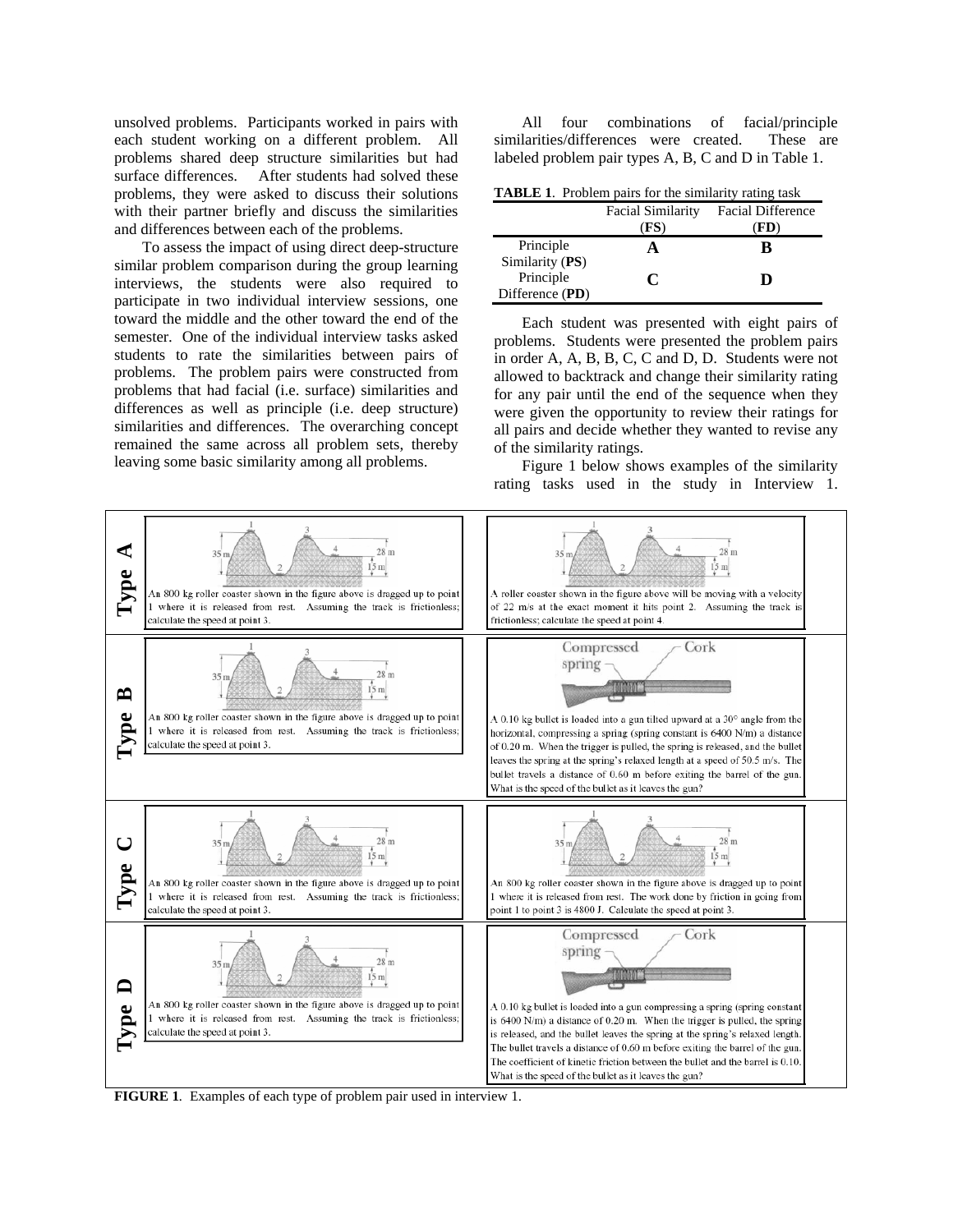unsolved problems. Participants worked in pairs with each student working on a different problem. All problems shared deep structure similarities but had surface differences. After students had solved these problems, they were asked to discuss their solutions with their partner briefly and discuss the similarities and differences between each of the problems.

To assess the impact of using direct deep-structure similar problem comparison during the group learning interviews, the students were also required to participate in two individual interview sessions, one toward the middle and the other toward the end of the semester. One of the individual interview tasks asked students to rate the similarities between pairs of problems. The problem pairs were constructed from problems that had facial (i.e. surface) similarities and differences as well as principle (i.e. deep structure) similarities and differences. The overarching concept remained the same across all problem sets, thereby leaving some basic similarity among all problems.

|  |  |  | All four combinations of facial/principle            |  |
|--|--|--|------------------------------------------------------|--|
|  |  |  | similarities/differences were created. These are     |  |
|  |  |  | labeled problem pair types A, B, C and D in Table 1. |  |

| <b>TABLE 1.</b> Problem pairs for the similarity rating task |  |  |  |  |
|--------------------------------------------------------------|--|--|--|--|
|                                                              |  |  |  |  |

|                 | <b>Facial Similarity</b> | <b>Facial Difference</b> |
|-----------------|--------------------------|--------------------------|
|                 | 45.                      | FD)                      |
| Principle       |                          | R                        |
| Similarity (PS) |                          |                          |
| Principle       | $\mathbf{C}$             | Ð                        |
| Difference (PD) |                          |                          |

Each student was presented with eight pairs of problems. Students were presented the problem pairs in order A, A, B, B, C, C and D, D. Students were not allowed to backtrack and change their similarity rating for any pair until the end of the sequence when they were given the opportunity to review their ratings for all pairs and decide whether they wanted to revise any of the similarity ratings.

Figure 1 below shows examples of the similarity rating tasks used in the study in Interview 1.

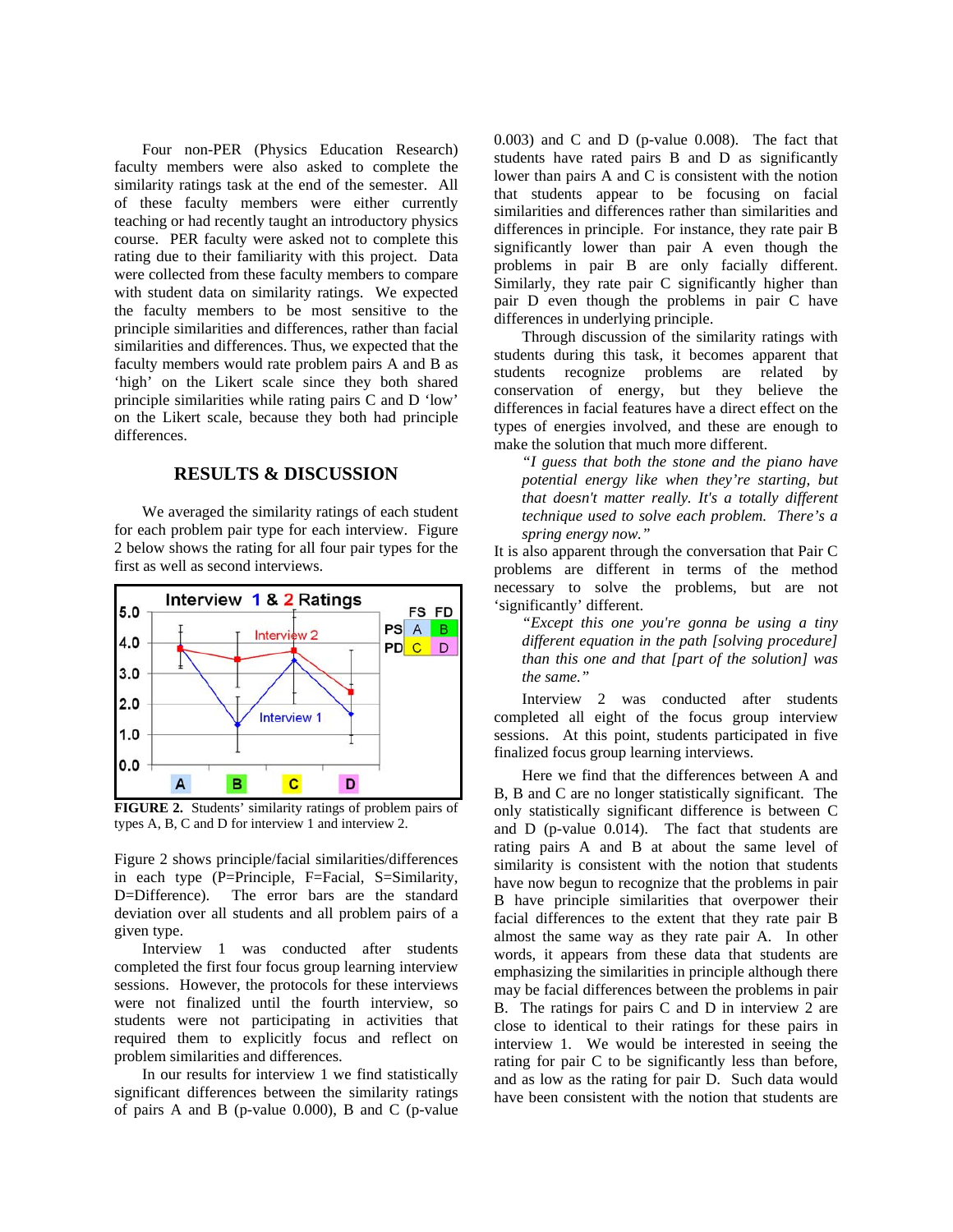Four non-PER (Physics Education Research) faculty members were also asked to complete the similarity ratings task at the end of the semester. All of these faculty members were either currently teaching or had recently taught an introductory physics course. PER faculty were asked not to complete this rating due to their familiarity with this project. Data were collected from these faculty members to compare with student data on similarity ratings. We expected the faculty members to be most sensitive to the principle similarities and differences, rather than facial similarities and differences. Thus, we expected that the faculty members would rate problem pairs A and B as 'high' on the Likert scale since they both shared principle similarities while rating pairs C and D 'low' on the Likert scale, because they both had principle differences.

## **RESULTS & DISCUSSION**

We averaged the similarity ratings of each student for each problem pair type for each interview. Figure 2 below shows the rating for all four pair types for the first as well as second interviews.



**FIGURE 2.** Students' similarity ratings of problem pairs of types A, B, C and D for interview 1 and interview 2.

Figure 2 shows principle/facial similarities/differences in each type (P=Principle, F=Facial, S=Similarity, D=Difference). The error bars are the standard deviation over all students and all problem pairs of a given type.

Interview 1 was conducted after students completed the first four focus group learning interview sessions. However, the protocols for these interviews were not finalized until the fourth interview, so students were not participating in activities that required them to explicitly focus and reflect on problem similarities and differences.

In our results for interview 1 we find statistically significant differences between the similarity ratings of pairs A and B (p-value 0.000), B and C (p-value

0.003) and C and D (p-value 0.008). The fact that students have rated pairs B and D as significantly lower than pairs A and C is consistent with the notion that students appear to be focusing on facial similarities and differences rather than similarities and differences in principle. For instance, they rate pair B significantly lower than pair A even though the problems in pair B are only facially different. Similarly, they rate pair C significantly higher than pair D even though the problems in pair C have differences in underlying principle.

Through discussion of the similarity ratings with students during this task, it becomes apparent that students recognize problems are related by conservation of energy, but they believe the differences in facial features have a direct effect on the types of energies involved, and these are enough to make the solution that much more different.

*"I guess that both the stone and the piano have potential energy like when they're starting, but that doesn't matter really. It's a totally different technique used to solve each problem. There's a spring energy now."* 

It is also apparent through the conversation that Pair C problems are different in terms of the method necessary to solve the problems, but are not 'significantly' different.

*"Except this one you're gonna be using a tiny different equation in the path [solving procedure] than this one and that [part of the solution] was the same."* 

Interview 2 was conducted after students completed all eight of the focus group interview sessions. At this point, students participated in five finalized focus group learning interviews.

Here we find that the differences between A and B, B and C are no longer statistically significant. The only statistically significant difference is between C and D (p-value 0.014). The fact that students are rating pairs A and B at about the same level of similarity is consistent with the notion that students have now begun to recognize that the problems in pair B have principle similarities that overpower their facial differences to the extent that they rate pair B almost the same way as they rate pair A. In other words, it appears from these data that students are emphasizing the similarities in principle although there may be facial differences between the problems in pair B. The ratings for pairs C and D in interview 2 are close to identical to their ratings for these pairs in interview 1. We would be interested in seeing the rating for pair C to be significantly less than before, and as low as the rating for pair D. Such data would have been consistent with the notion that students are